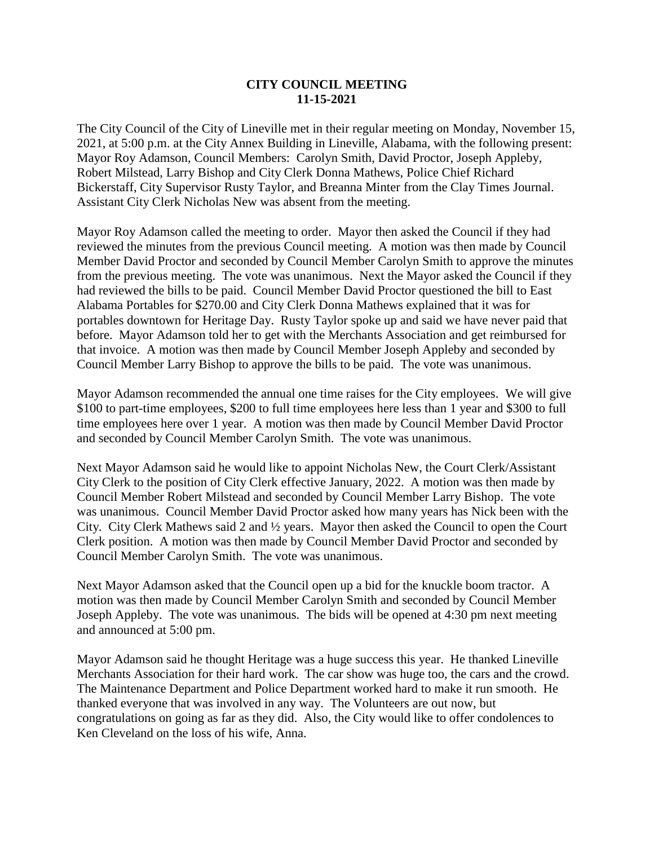## **CITY COUNCIL MEETING 11-15-2021**

The City Council of the City of Lineville met in their regular meeting on Monday, November 15, 2021, at 5:00 p.m. at the City Annex Building in Lineville, Alabama, with the following present: Mayor Roy Adamson, Council Members: Carolyn Smith, David Proctor, Joseph Appleby, Robert Milstead, Larry Bishop and City Clerk Donna Mathews, Police Chief Richard Bickerstaff, City Supervisor Rusty Taylor, and Breanna Minter from the Clay Times Journal. Assistant City Clerk Nicholas New was absent from the meeting.

Mayor Roy Adamson called the meeting to order. Mayor then asked the Council if they had reviewed the minutes from the previous Council meeting. A motion was then made by Council Member David Proctor and seconded by Council Member Carolyn Smith to approve the minutes from the previous meeting. The vote was unanimous. Next the Mayor asked the Council if they had reviewed the bills to be paid. Council Member David Proctor questioned the bill to East Alabama Portables for \$270.00 and City Clerk Donna Mathews explained that it was for portables downtown for Heritage Day. Rusty Taylor spoke up and said we have never paid that before. Mayor Adamson told her to get with the Merchants Association and get reimbursed for that invoice. A motion was then made by Council Member Joseph Appleby and seconded by Council Member Larry Bishop to approve the bills to be paid. The vote was unanimous.

Mayor Adamson recommended the annual one time raises for the City employees. We will give \$100 to part-time employees, \$200 to full time employees here less than 1 year and \$300 to full time employees here over 1 year. A motion was then made by Council Member David Proctor and seconded by Council Member Carolyn Smith. The vote was unanimous.

Next Mayor Adamson said he would like to appoint Nicholas New, the Court Clerk/Assistant City Clerk to the position of City Clerk effective January, 2022. A motion was then made by Council Member Robert Milstead and seconded by Council Member Larry Bishop. The vote was unanimous. Council Member David Proctor asked how many years has Nick been with the City. City Clerk Mathews said 2 and ½ years. Mayor then asked the Council to open the Court Clerk position. A motion was then made by Council Member David Proctor and seconded by Council Member Carolyn Smith. The vote was unanimous.

Next Mayor Adamson asked that the Council open up a bid for the knuckle boom tractor. A motion was then made by Council Member Carolyn Smith and seconded by Council Member Joseph Appleby. The vote was unanimous. The bids will be opened at 4:30 pm next meeting and announced at 5:00 pm.

Mayor Adamson said he thought Heritage was a huge success this year. He thanked Lineville Merchants Association for their hard work. The car show was huge too, the cars and the crowd. The Maintenance Department and Police Department worked hard to make it run smooth. He thanked everyone that was involved in any way. The Volunteers are out now, but congratulations on going as far as they did. Also, the City would like to offer condolences to Ken Cleveland on the loss of his wife, Anna.